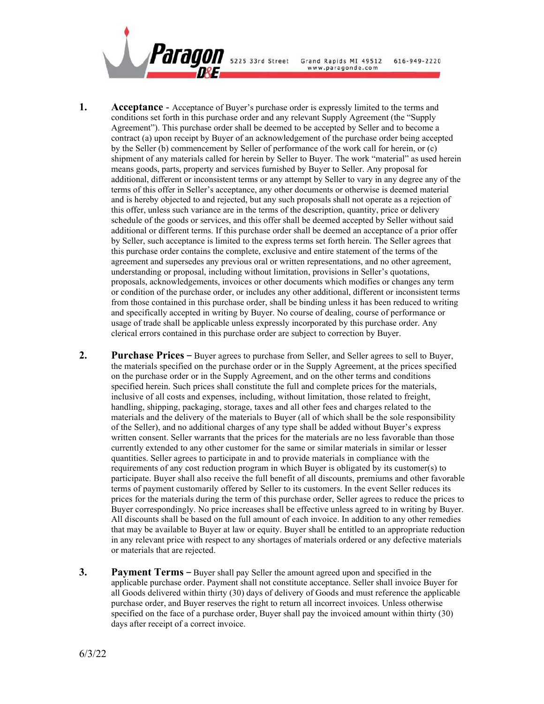

- **1. Acceptance**  Acceptance of Buyer's purchase order is expressly limited to the terms and conditions set forth in this purchase order and any relevant Supply Agreement (the "Supply Agreement"). This purchase order shall be deemed to be accepted by Seller and to become a contract (a) upon receipt by Buyer of an acknowledgement of the purchase order being accepted by the Seller (b) commencement by Seller of performance of the work call for herein, or (c) shipment of any materials called for herein by Seller to Buyer. The work "material" as used herein means goods, parts, property and services furnished by Buyer to Seller. Any proposal for additional, different or inconsistent terms or any attempt by Seller to vary in any degree any of the terms of this offer in Seller's acceptance, any other documents or otherwise is deemed material and is hereby objected to and rejected, but any such proposals shall not operate as a rejection of this offer, unless such variance are in the terms of the description, quantity, price or delivery schedule of the goods or services, and this offer shall be deemed accepted by Seller without said additional or different terms. If this purchase order shall be deemed an acceptance of a prior offer by Seller, such acceptance is limited to the express terms set forth herein. The Seller agrees that this purchase order contains the complete, exclusive and entire statement of the terms of the agreement and supersedes any previous oral or written representations, and no other agreement, understanding or proposal, including without limitation, provisions in Seller's quotations, proposals, acknowledgements, invoices or other documents which modifies or changes any term or condition of the purchase order, or includes any other additional, different or inconsistent terms from those contained in this purchase order, shall be binding unless it has been reduced to writing and specifically accepted in writing by Buyer. No course of dealing, course of performance or usage of trade shall be applicable unless expressly incorporated by this purchase order. Any clerical errors contained in this purchase order are subject to correction by Buyer.
- **2. Purchase Prices –** Buyer agrees to purchase from Seller, and Seller agrees to sell to Buyer, the materials specified on the purchase order or in the Supply Agreement, at the prices specified on the purchase order or in the Supply Agreement, and on the other terms and conditions specified herein. Such prices shall constitute the full and complete prices for the materials, inclusive of all costs and expenses, including, without limitation, those related to freight, handling, shipping, packaging, storage, taxes and all other fees and charges related to the materials and the delivery of the materials to Buyer (all of which shall be the sole responsibility of the Seller), and no additional charges of any type shall be added without Buyer's express written consent. Seller warrants that the prices for the materials are no less favorable than those currently extended to any other customer for the same or similar materials in similar or lesser quantities. Seller agrees to participate in and to provide materials in compliance with the requirements of any cost reduction program in which Buyer is obligated by its customer(s) to participate. Buyer shall also receive the full benefit of all discounts, premiums and other favorable terms of payment customarily offered by Seller to its customers. In the event Seller reduces its prices for the materials during the term of this purchase order, Seller agrees to reduce the prices to Buyer correspondingly. No price increases shall be effective unless agreed to in writing by Buyer. All discounts shall be based on the full amount of each invoice. In addition to any other remedies that may be available to Buyer at law or equity. Buyer shall be entitled to an appropriate reduction in any relevant price with respect to any shortages of materials ordered or any defective materials or materials that are rejected.
- **3. Payment Terms –** Buyer shall pay Seller the amount agreed upon and specified in the applicable purchase order. Payment shall not constitute acceptance. Seller shall invoice Buyer for all Goods delivered within thirty (30) days of delivery of Goods and must reference the applicable purchase order, and Buyer reserves the right to return all incorrect invoices. Unless otherwise specified on the face of a purchase order, Buyer shall pay the invoiced amount within thirty (30) days after receipt of a correct invoice.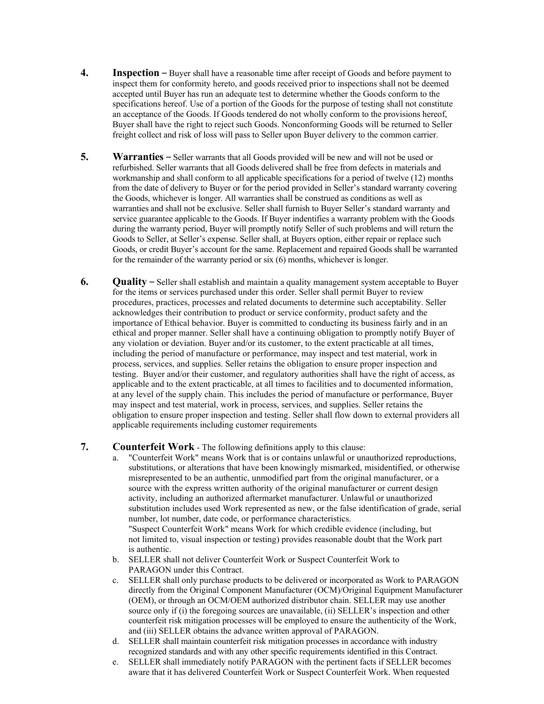- **4. Inspection –** Buyer shall have a reasonable time after receipt of Goods and before payment to inspect them for conformity hereto, and goods received prior to inspections shall not be deemed accepted until Buyer has run an adequate test to determine whether the Goods conform to the specifications hereof. Use of a portion of the Goods for the purpose of testing shall not constitute an acceptance of the Goods. If Goods tendered do not wholly conform to the provisions hereof, Buyer shall have the right to reject such Goods. Nonconforming Goods will be returned to Seller freight collect and risk of loss will pass to Seller upon Buyer delivery to the common carrier.
- **5. Warranties –** Seller warrants that all Goods provided will be new and will not be used or refurbished. Seller warrants that all Goods delivered shall be free from defects in materials and workmanship and shall conform to all applicable specifications for a period of twelve (12) months from the date of delivery to Buyer or for the period provided in Seller's standard warranty covering the Goods, whichever is longer. All warranties shall be construed as conditions as well as warranties and shall not be exclusive. Seller shall furnish to Buyer Seller's standard warranty and service guarantee applicable to the Goods. If Buyer indentifies a warranty problem with the Goods during the warranty period, Buyer will promptly notify Seller of such problems and will return the Goods to Seller, at Seller's expense. Seller shall, at Buyers option, either repair or replace such Goods, or credit Buyer's account for the same. Replacement and repaired Goods shall be warranted for the remainder of the warranty period or six (6) months, whichever is longer.
- **6. Quality** Seller shall establish and maintain a quality management system acceptable to Buyer for the items or services purchased under this order. Seller shall permit Buyer to review procedures, practices, processes and related documents to determine such acceptability. Seller acknowledges their contribution to product or service conformity, product safety and the importance of Ethical behavior. Buyer is committed to conducting its business fairly and in an ethical and proper manner. Seller shall have a continuing obligation to promptly notify Buyer of any violation or deviation. Buyer and/or its customer, to the extent practicable at all times, including the period of manufacture or performance, may inspect and test material, work in process, services, and supplies. Seller retains the obligation to ensure proper inspection and testing. Buyer and/or their customer, and regulatory authorities shall have the right of access, as applicable and to the extent practicable, at all times to facilities and to documented information, at any level of the supply chain. This includes the period of manufacture or performance, Buyer may inspect and test material, work in process, services, and supplies. Seller retains the obligation to ensure proper inspection and testing. Seller shall flow down to external providers all applicable requirements including customer requirements

## **7. Counterfeit Work** - The following definitions apply to this clause:

- a. "Counterfeit Work" means Work that is or contains unlawful or unauthorized reproductions, substitutions, or alterations that have been knowingly mismarked, misidentified, or otherwise misrepresented to be an authentic, unmodified part from the original manufacturer, or a source with the express written authority of the original manufacturer or current design activity, including an authorized aftermarket manufacturer. Unlawful or unauthorized substitution includes used Work represented as new, or the false identification of grade, serial number, lot number, date code, or performance characteristics. "Suspect Counterfeit Work" means Work for which credible evidence (including, but not limited to, visual inspection or testing) provides reasonable doubt that the Work part is authentic.
- b. SELLER shall not deliver Counterfeit Work or Suspect Counterfeit Work to PARAGON under this Contract.
- c. SELLER shall only purchase products to be delivered or incorporated as Work to PARAGON directly from the Original Component Manufacturer (OCM)/Original Equipment Manufacturer (OEM), or through an OCM/OEM authorized distributor chain. SELLER may use another source only if (i) the foregoing sources are unavailable, (ii) SELLER's inspection and other counterfeit risk mitigation processes will be employed to ensure the authenticity of the Work, and (iii) SELLER obtains the advance written approval of PARAGON.
- d. SELLER shall maintain counterfeit risk mitigation processes in accordance with industry recognized standards and with any other specific requirements identified in this Contract.
- e. SELLER shall immediately notify PARAGON with the pertinent facts if SELLER becomes aware that it has delivered Counterfeit Work or Suspect Counterfeit Work. When requested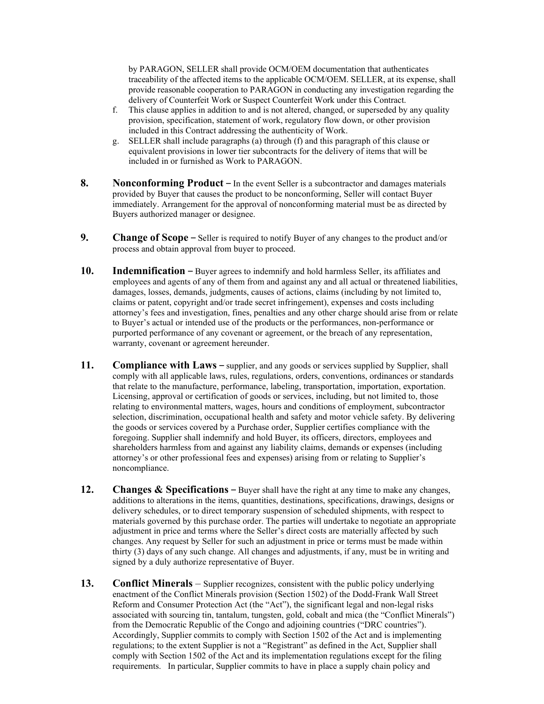by PARAGON, SELLER shall provide OCM/OEM documentation that authenticates traceability of the affected items to the applicable OCM/OEM. SELLER, at its expense, shall provide reasonable cooperation to PARAGON in conducting any investigation regarding the delivery of Counterfeit Work or Suspect Counterfeit Work under this Contract.

- f. This clause applies in addition to and is not altered, changed, or superseded by any quality provision, specification, statement of work, regulatory flow down, or other provision included in this Contract addressing the authenticity of Work.
- g. SELLER shall include paragraphs (a) through (f) and this paragraph of this clause or equivalent provisions in lower tier subcontracts for the delivery of items that will be included in or furnished as Work to PARAGON.
- **8. Nonconforming Product –** In the event Seller is a subcontractor and damages materials provided by Buyer that causes the product to be nonconforming, Seller will contact Buyer immediately. Arrangement for the approval of nonconforming material must be as directed by Buyers authorized manager or designee.
- **9. Change of Scope –** Seller is required to notify Buyer of any changes to the product and/or process and obtain approval from buyer to proceed.
- **10. Indemnification –** Buyer agrees to indemnify and hold harmless Seller, its affiliates and employees and agents of any of them from and against any and all actual or threatened liabilities, damages, losses, demands, judgments, causes of actions, claims (including by not limited to, claims or patent, copyright and/or trade secret infringement), expenses and costs including attorney's fees and investigation, fines, penalties and any other charge should arise from or relate to Buyer's actual or intended use of the products or the performances, non-performance or purported performance of any covenant or agreement, or the breach of any representation, warranty, covenant or agreement hereunder.
- **11. Compliance with Laws –** supplier, and any goods or services supplied by Supplier, shall comply with all applicable laws, rules, regulations, orders, conventions, ordinances or standards that relate to the manufacture, performance, labeling, transportation, importation, exportation. Licensing, approval or certification of goods or services, including, but not limited to, those relating to environmental matters, wages, hours and conditions of employment, subcontractor selection, discrimination, occupational health and safety and motor vehicle safety. By delivering the goods or services covered by a Purchase order, Supplier certifies compliance with the foregoing. Supplier shall indemnify and hold Buyer, its officers, directors, employees and shareholders harmless from and against any liability claims, demands or expenses (including attorney's or other professional fees and expenses) arising from or relating to Supplier's noncompliance.
- **12. Changes & Specifications** Buyer shall have the right at any time to make any changes, additions to alterations in the items, quantities, destinations, specifications, drawings, designs or delivery schedules, or to direct temporary suspension of scheduled shipments, with respect to materials governed by this purchase order. The parties will undertake to negotiate an appropriate adjustment in price and terms where the Seller's direct costs are materially affected by such changes. Any request by Seller for such an adjustment in price or terms must be made within thirty (3) days of any such change. All changes and adjustments, if any, must be in writing and signed by a duly authorize representative of Buyer.
- **13. Conflict Minerals**  Supplier recognizes, consistent with the public policy underlying enactment of the Conflict Minerals provision (Section 1502) of the Dodd-Frank Wall Street Reform and Consumer Protection Act (the "Act"), the significant legal and non-legal risks associated with sourcing tin, tantalum, tungsten, gold, cobalt and mica (the "Conflict Minerals") from the Democratic Republic of the Congo and adjoining countries ("DRC countries"). Accordingly, Supplier commits to comply with Section 1502 of the Act and is implementing regulations; to the extent Supplier is not a "Registrant" as defined in the Act, Supplier shall comply with Section 1502 of the Act and its implementation regulations except for the filing requirements. In particular, Supplier commits to have in place a supply chain policy and